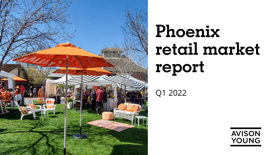

# **Phoenix retail market report**

Q1 2022

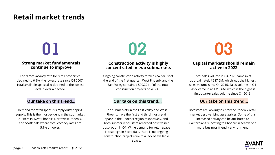### **Retail market trends**

### **Strong market fundamentals continue to improve**

The direct vacancy rate for retail properties declined to 6.9%, the lowest rate since Q4 2007. Total available space also declined to the lowest level in over a decade.

Demand for retail space is simply outstripping supply. This is the most evident in the submarket clusters in West Phoenix, Northwest Phoenix, and Scottsdale where total vacancy rates are 5.1% or lower.

### **Construction activity is highly concentrated in two submarkets**

Ongoing construction activity totaled 652,586 sf at the end of the first quarter. West Phoenix and the East Valley contained 500,291 sf of the total construction projects or 76.7%.

### **Our take on this trend… Our take on this trend… Our take on this trend…**

The submarkets in the East Valley and West Phoenix have the first and third most retail space in the Phoenix region respectively, and both submarket clusters recorded positive net absorption in Q1. While demand for retail space is also high in Scottsdale, there is no ongoing construction projects due to a lack of available space.



### **Capital markets should remain active in 2022**

Total sales volume in Q4 2021 came in at approximately \$587.6M, which was the highest sales volume since Q4 2015. Sales volume in Q1 2022 came in at \$313.6M, which is the highest first quarter sales volume since Q1 2016.

Investors are looking to enter the Phoenix retail market despite rising asset prices. Some of this increased activity can be attributed to Californians relocating to Phoenix in search of a more business friendly environment.

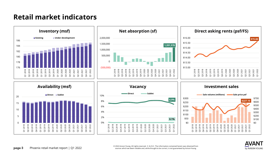### **Retail market indicators**





**page 3** Phoenix retail market report | Q1 2022 © 2022 Avison Young. All rights reserved. E. & O.E.: The information contained herein was obtained from sources which we deem reliable and, while thought to be correct, is not guaranteed by AvisonYoung.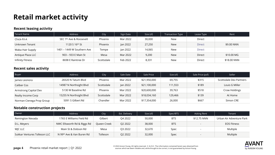# **Retail market activity**

#### **Recent leasing activity**

| Tenant Name       | Address                    | City       | Sign Date | Size (sf) | <b>Transaction Type</b> | Lease Type    | Rent        |
|-------------------|----------------------------|------------|-----------|-----------|-------------------------|---------------|-------------|
| Chick-Fil-A       | SEC 7th Ave & Roosevelt    | Phoenix    | Mar 2022  | 30,000    | <b>New</b>              | <b>Direct</b> |             |
| Unknown Tenant    | 1120 S 16th St             | Phoenix    | Jan 2022  | 27,250    | <b>New</b>              | <b>Direct</b> | \$9.00 NNN  |
| Waba Hair Supply  | 1401 – 1449 W Southern Ave | Tempe      | lan 2022  | 14,065    | New                     | <b>Direct</b> |             |
| Antique Plaza LLC | 903 – 933 E Main St        | Mesa       | Mar 2022  | 9,200     | <b>New</b>              | Direct        | \$10.00 MG  |
| Infinity Fitness  | 8698 E Raintree Dr         | Scottsdale | Feb 2022  | 8,331     | <b>New</b>              | Direct        | \$18.00 NNN |

#### **Recent sales activity**

| Buyer                     | Address                 | City       | Sale Date | Sale Price   | Size (sf) | Sale Price (psf) | Seller                  |
|---------------------------|-------------------------|------------|-----------|--------------|-----------|------------------|-------------------------|
| James Leonora             | 28320 N Tatum Blyd      | Phoenix    | Mar 2022  | \$21,950,000 | 69,755    | \$315            | Scottsdale Dev Partners |
| Caliber Cos               | 14987 N Northsight Blvd | Scottsdale | Jan 2022  | \$21,100,000 | 111.553   | \$189            | Louis G Miller          |
| Armstrong Capital Dev     | 5130 W Baseline Rd      | Phoenix    | Mar 2022  | \$20,600,000 | 39,763    | \$518            | Crow Holdings           |
| Realty Income Corp        | 15255 N Northsight Blvd | Scottsdale | Mar 2022  | \$18,034,160 | 129,466   | \$139            | At Home                 |
| Norman Cienega Prop Group | 5091 S Gilbert Rd       | Chandler   | Mar 2022  | \$17,354,000 | 26,000    | \$667            | Simon CRE               |

#### **Notable construction projects**

| Owner                        | Address                     | City        | Est. Delivery       | Size (sf) | Spec/BTS   | Asking Rent | Tenant                   |
|------------------------------|-----------------------------|-------------|---------------------|-----------|------------|-------------|--------------------------|
| Remington Nevada             | 1765 E Williams Field Rd    | Gilbert     | Q4 2022             | 50,000    | <b>BTS</b> | \$12.75 NNN | Urban Air Adventure Park |
| D.L. Meyers                  | NWC Ellsworth Rd & Riggs Rd | Queen Creek | Q <sub>2</sub> 2022 | 38,000    | <b>BTS</b> |             | <b>EOS Fitness</b>       |
| WJC LLC                      | Main St & Dobson Rd         | Mesa        | Q3 2022             | 32,670    | Spec       |             | Multiple                 |
| Sukkar Ventures Tolleson LLC | N 99th Ave & Van Buren Rd   | Tolleson    | Q <sub>2</sub> 2022 | 32,000    | Spec       |             | Multiple                 |

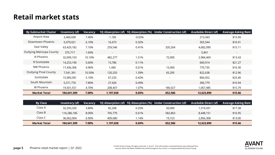### **Retail market stats**

| <b>By Submarket Cluster</b>     | Inventory (sf) | Vacancy |                          |                                      | 1Q Absorption (sf) 1Q Absorption (%) Under Construction (sf) | <b>Available Direct (sf)</b> | <b>Average Asking Rent</b> |
|---------------------------------|----------------|---------|--------------------------|--------------------------------------|--------------------------------------------------------------|------------------------------|----------------------------|
| Airport Area                    | 3,460,690      | 7.40%   | $-1,185$                 | $-0.03%$                             |                                                              | 213,343                      | \$15.09                    |
| Downtown Phoenix                | 5,079,021      | 6.10%   | 16,473                   | 0.32%                                | $\blacksquare$                                               | 303,544                      | \$16.91                    |
| East Valley                     | 63,429,182     | 7.10%   | 259,546                  | 0.41%                                | 320,264                                                      | 4,682,090                    | \$15.11                    |
| <b>Outlying Maricopa County</b> | 375,717        | 1.60%   | $\overline{\phantom{a}}$ | $\blacksquare$                       | $\overline{\phantom{a}}$                                     | 5,841                        | $\sim$                     |
| N Phoenix                       | 32,009,103     | 10.10%  | 482,277                  | 1.51%                                | 72,000                                                       | 2,984,469                    | \$13.43                    |
| N Scottsdale                    | 14,253,190     | 5.60%   | 15,786                   | 0.11%                                | $\sim$                                                       | 660,914                      | \$21.27                    |
| NW Phoenix                      | 17,436,306     | 4.90%   | 1,440                    | 0.01%                                | 15,000                                                       | 770,735                      | \$16.30                    |
| <b>Outlying Pinal County</b>    | 7,541,391      | 10.50%  | 120,255                  | 1.59%                                | 65,295                                                       | 822,638                      | \$12.96                    |
| Scottsdale                      | 15,983,581     | 5.10%   | 67,233                   | 0.42%                                | $\sim$                                                       | 806,052                      | \$23.40                    |
| South Mountain                  | 5,571,776      | 7.80%   | 27,426                   | 0.49%                                | $\sim$                                                       | 306,779                      | \$16.94                    |
| W Phoenix                       | 19,501,551     | 4.70%   | 208,407                  | 1.07%                                | 180,027                                                      | 1,067,485                    | \$15.79                    |
| <b>Market Total</b>             | 184,641,509    | 7.00%   | 1,197,658                | 0.65%                                | 652,586                                                      | 12,623,890                   | \$15.66                    |
|                                 |                |         |                          |                                      |                                                              |                              |                            |
| <b>By Class</b>                 | Inventory (sf) | Vacancy |                          | 1Q Absorption (sf) 1Q Absorption (%) | <b>Under Construction (sf)</b>                               | <b>Available Direct (sf)</b> | <b>Average Asking Rent</b> |
| Class A                         | 32,293,320     | 3.80%   | 82,208                   | 0.25%                                | 50,000                                                       | 1,319,431                    | \$17.38                    |
| Class B                         | 116,286,185    | 8.00%   | 705,770                  | 0.61%                                | 582,863                                                      | 8,448,151                    | \$16.95                    |

Class C 36,062,004 6.90% 409,680 1.14% 19,723 2,856,308 \$13.00

**Market Total 184,641,509 7.00% 1,197,658 0.65% 652,586 12,623,890 \$15.66**

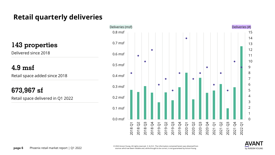# **Retail quarterly deliveries**

**143 properties**

Delivered since 2018

**4.9 msf** 

Retail space added since 2018

**673,967 sf**

Retail space delivered in Q1 2022



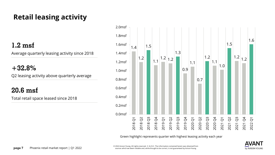# **Retail leasing activity**

### **1.2 msf**

Average quarterly leasing activity since 2018

### **+32.8%**

Q2 leasing activity above quarterly average

### **20.6 msf**

Total retail space leased since 2018



Green highlight represents quarter with highest leasing activity each year

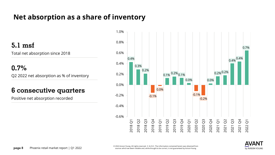### **Net absorption as a share of inventory**

**5.1 msf**

Total net absorption since 2018

**0.7%**

Q2 2022 net absorption as % of inventory

### **6 consecutive quarters**

Positive net absorption recorded